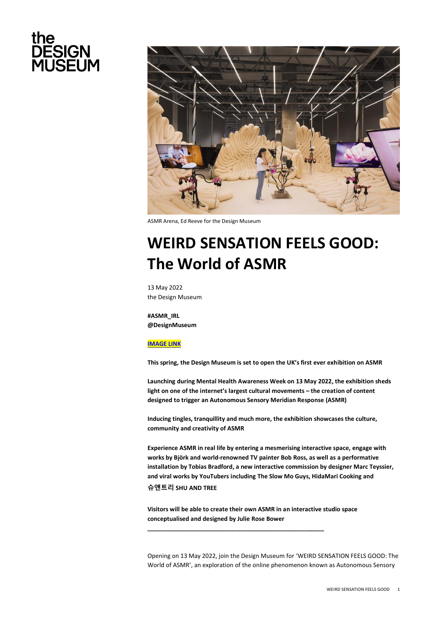# the **DESIGN<br>MUSEUM**



ASMR Arena, Ed Reeve for the Design Museum

# **WEIRD SENSATION FEELS GOOD: The World of ASMR**

13 May 2022 the Design Museum

**#ASMR\_IRL @DesignMuseum**

## **[IMAGE LINK](https://drive.google.com/drive/folders/1x02fQFwdt-wx1axwtp6e2oLqEXhkHnjz)**

**This spring, the Design Museum is set to open the UK's first ever exhibition on ASMR**

**Launching during Mental Health Awareness Week on 13 May 2022, the exhibition sheds light on one of the internet's largest cultural movements – the creation of content designed to trigger an Autonomous Sensory Meridian Response (ASMR)**

**Inducing tingles, tranquillity and much more, the exhibition showcases the culture, community and creativity of ASMR**

**Experience ASMR in real life by entering a mesmerising interactive space, engage with works by Björk and world-renowned TV painter Bob Ross, as well as a performative installation by Tobias Bradford, a new interactive commission by designer Marc Teyssier, and viral works by YouTubers including The Slow Mo Guys, HidaMari Cooking and** 

# **슈앤트리 SHU AND TREE**

**Visitors will be able to create their own ASMR in an interactive studio space conceptualised and designed by Julie Rose Bower**

**\_\_\_\_\_\_\_\_\_\_\_\_\_\_\_\_\_\_\_\_\_\_\_\_\_\_\_\_\_\_\_\_\_\_\_\_\_\_\_\_\_\_\_\_\_\_\_\_\_\_\_\_\_**

Opening on 13 May 2022, join the Design Museum for 'WEIRD SENSATION FEELS GOOD: The World of ASMR', an exploration of the online phenomenon known as Autonomous Sensory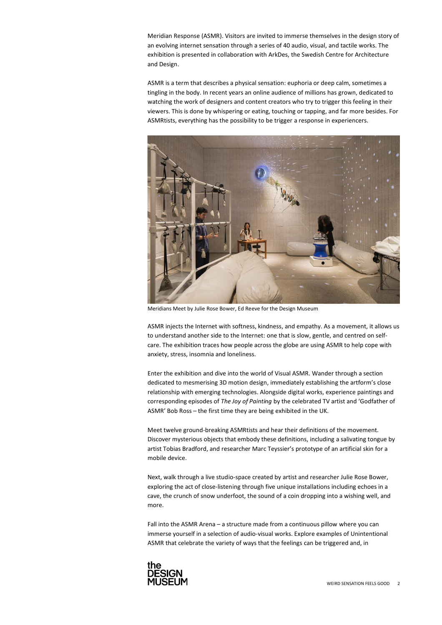Meridian Response (ASMR). Visitors are invited to immerse themselves in the design story of an evolving internet sensation through a series of 40 audio, visual, and tactile works. The exhibition is presented in collaboration with ArkDes, the Swedish Centre for Architecture and Design.

ASMR is a term that describes a physical sensation: euphoria or deep calm, sometimes a tingling in the body. In recent years an online audience of millions has grown, dedicated to watching the work of designers and content creators who try to trigger this feeling in their viewers. This is done by whispering or eating, touching or tapping, and far more besides. For ASMRtists, everything has the possibility to be trigger a response in experiencers.



Meridians Meet by Julie Rose Bower, Ed Reeve for the Design Museum

ASMR injects the Internet with softness, kindness, and empathy. As a movement, it allows us to understand another side to the Internet: one that is slow, gentle, and centred on selfcare. The exhibition traces how people across the globe are using ASMR to help cope with anxiety, stress, insomnia and loneliness.

Enter the exhibition and dive into the world of Visual ASMR. Wander through a section dedicated to mesmerising 3D motion design, immediately establishing the artform's close relationship with emerging technologies. Alongside digital works, experience paintings and corresponding episodes of *The Joy of Painting* by the celebrated TV artist and 'Godfather of ASMR' Bob Ross – the first time they are being exhibited in the UK.

Meet twelve ground-breaking ASMRtists and hear their definitions of the movement. Discover mysterious objects that embody these definitions, including a salivating tongue by artist Tobias Bradford, and researcher Marc Teyssier's prototype of an artificial skin for a mobile device.

Next, walk through a live studio-space created by artist and researcher Julie Rose Bower, exploring the act of close-listening through five unique installations including echoes in a cave, the crunch of snow underfoot, the sound of a coin dropping into a wishing well, and more.

Fall into the ASMR Arena – a structure made from a continuous pillow where you can immerse yourself in a selection of audio-visual works. Explore examples of Unintentional ASMR that celebrate the variety of ways that the feelings can be triggered and, in

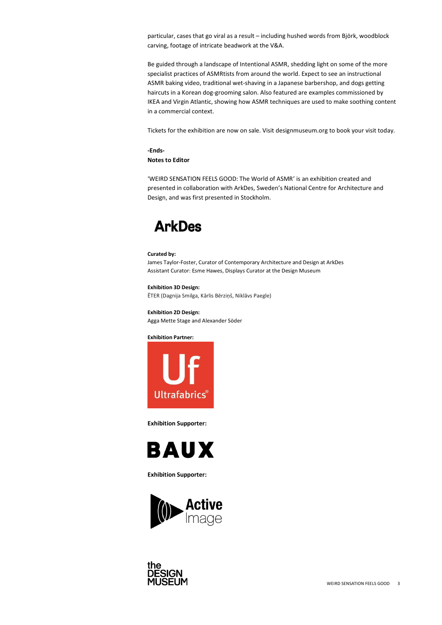particular, cases that go viral as a result – including hushed words from Björk, woodblock carving, footage of intricate beadwork at the V&A.

Be guided through a landscape of Intentional ASMR, shedding light on some of the more specialist practices of ASMRtists from around the world. Expect to see an instructional ASMR baking video, traditional wet-shaving in a Japanese barbershop, and dogs getting haircuts in a Korean dog-grooming salon. Also featured are examples commissioned by IKEA and Virgin Atlantic, showing how ASMR techniques are used to make soothing content in a commercial context.

Tickets for the exhibition are now on sale. Visit designmuseum.org to book your visit today.

# **-Ends-**

**Notes to Editor**

'WEIRD SENSATION FEELS GOOD: The World of ASMR' is an exhibition created and presented in collaboration with ArkDes, Sweden's National Centre for Architecture and Design, and was first presented in Stockholm.

# **ArkDes**

### **Curated by:**

James Taylor-Foster, Curator of Contemporary Architecture and Design at ArkDes Assistant Curator: Esme Hawes, Displays Curator at the Design Museum

# **Exhibition 3D Design:**

ĒTER (Dagnija Smilga, Kārlis Bērziņš, Niklāvs Paegle)

**Exhibition 2D Design:** Agga Mette Stage and Alexander Sӧder

### **Exhibition Partner:**



**Exhibition Supporter:**



**Exhibition Supporter:**